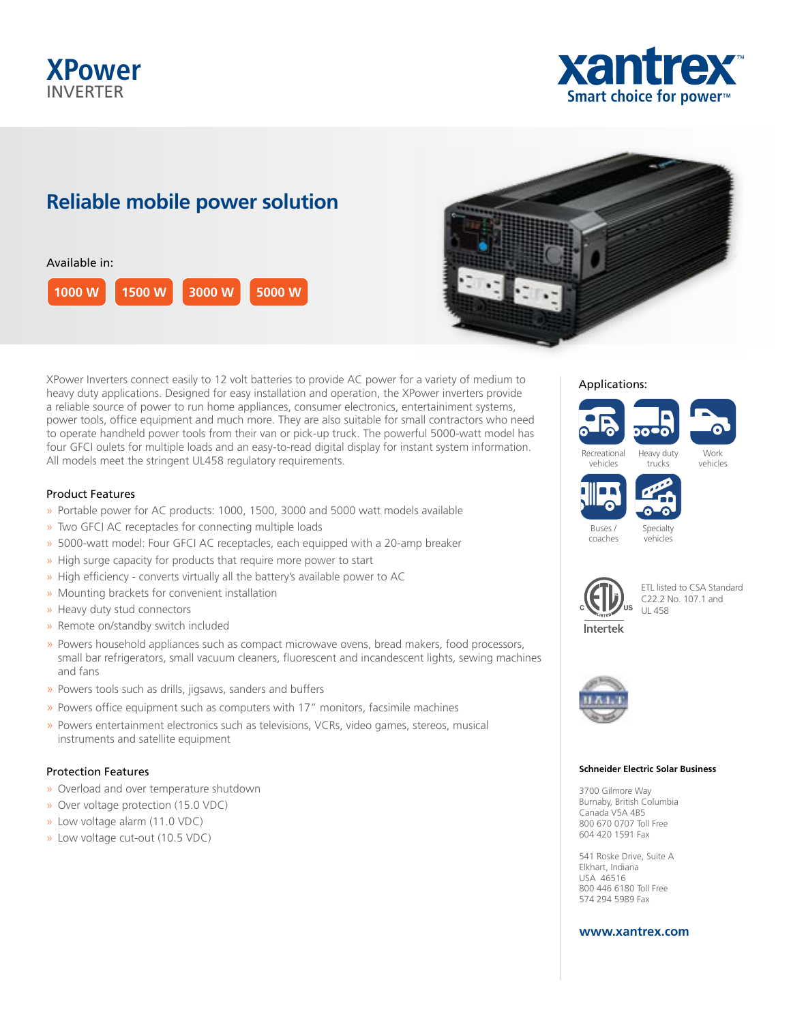# **XPower** INVERTER



# **Reliable mobile power solution**





XPower Inverters connect easily to 12 volt batteries to provide AC power for a variety of medium to heavy duty applications. Designed for easy installation and operation, the XPower inverters provide a reliable source of power to run home appliances, consumer electronics, entertainiment systems, power tools, office equipment and much more. They are also suitable for small contractors who need to operate handheld power tools from their van or pick-up truck. The powerful 5000-watt model has four GFCI oulets for multiple loads and an easy-to-read digital display for instant system information. All models meet the stringent UL458 regulatory requirements.

## Product Features

- » Portable power for AC products: 1000, 1500, 3000 and 5000 watt models available
- » Two GFCI AC receptacles for connecting multiple loads
- » 5000-watt model: Four GFCI AC receptacles, each equipped with a 20-amp breaker
- » High surge capacity for products that require more power to start
- » High efficiency converts virtually all the battery's available power to AC
- » Mounting brackets for convenient installation
- » Heavy duty stud connectors
- » Remote on/standby switch included
- » Powers household appliances such as compact microwave ovens, bread makers, food processors, small bar refrigerators, small vacuum cleaners, fluorescent and incandescent lights, sewing machines and fans
- » Powers tools such as drills, jigsaws, sanders and buffers
- » Powers office equipment such as computers with 17" monitors, facsimile machines
- » Powers entertainment electronics such as televisions, VCRs, video games, stereos, musical instruments and satellite equipment

## Protection Features

- » Overload and over temperature shutdown
- » Over voltage protection (15.0 VDC)
- » Low voltage alarm (11.0 VDC)
- » Low voltage cut-out (10.5 VDC)







vehicles



Recreational vehicles

> Specialty vehicles



coaches

ETL listed to CSA Standard C22.2 No. 107.1 and UL 458



#### **Schneider Electric Solar Business**

3700 Gilmore Way Burnaby, British Columbia Canada V5A 4B5 800 670 0707 Toll Free 604 420 1591 Fax

541 Roske Drive, Suite A Elkhart, Indiana USA 46516 800 446 6180 Toll Free 574 294 5989 Fax

## **www.xantrex.com**